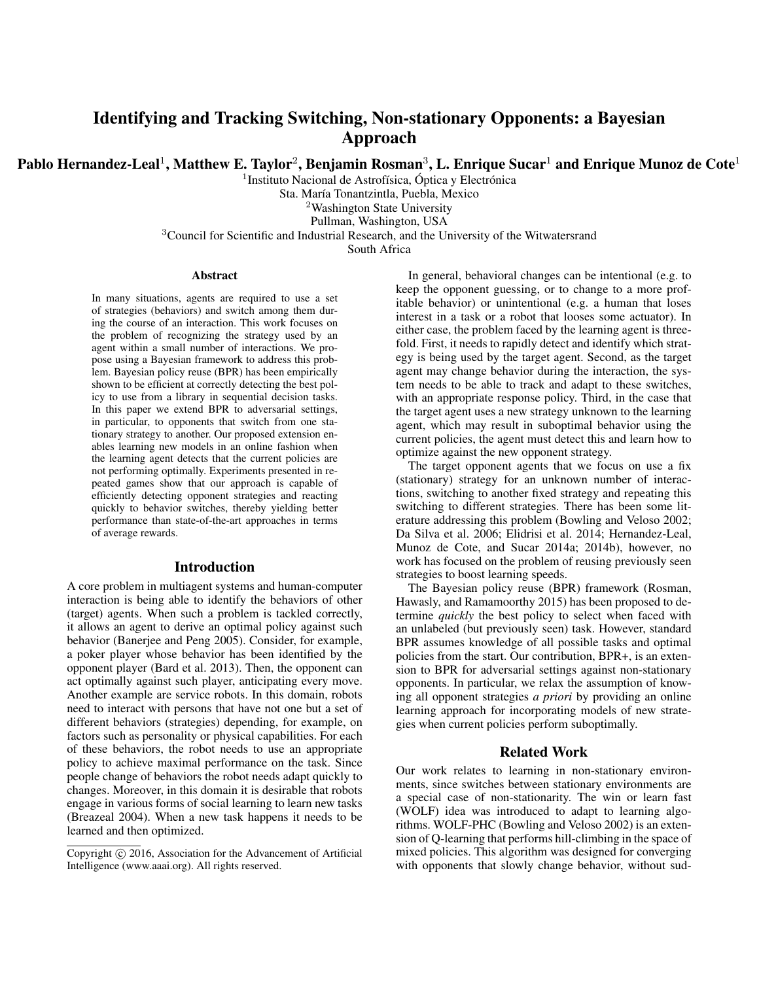# Identifying and Tracking Switching, Non-stationary Opponents: a Bayesian Approach

Pablo Hernandez-Leal $^1$ , Matthew E. Taylor $^2$ , Benjamin Rosman $^3$ , L. Enrique Sucar $^1$  and Enrique Munoz de Cote $^1$ 

<sup>1</sup> Instituto Nacional de Astrofísica, Óptica y Electrónica

Sta. María Tonantzintla, Puebla, Mexico

<sup>2</sup>Washington State University

Pullman, Washington, USA

<sup>3</sup>Council for Scientific and Industrial Research, and the University of the Witwatersrand

South Africa

#### **Abstract**

In many situations, agents are required to use a set of strategies (behaviors) and switch among them during the course of an interaction. This work focuses on the problem of recognizing the strategy used by an agent within a small number of interactions. We propose using a Bayesian framework to address this problem. Bayesian policy reuse (BPR) has been empirically shown to be efficient at correctly detecting the best policy to use from a library in sequential decision tasks. In this paper we extend BPR to adversarial settings, in particular, to opponents that switch from one stationary strategy to another. Our proposed extension enables learning new models in an online fashion when the learning agent detects that the current policies are not performing optimally. Experiments presented in repeated games show that our approach is capable of efficiently detecting opponent strategies and reacting quickly to behavior switches, thereby yielding better performance than state-of-the-art approaches in terms of average rewards.

# Introduction

A core problem in multiagent systems and human-computer interaction is being able to identify the behaviors of other (target) agents. When such a problem is tackled correctly, it allows an agent to derive an optimal policy against such behavior (Banerjee and Peng 2005). Consider, for example, a poker player whose behavior has been identified by the opponent player (Bard et al. 2013). Then, the opponent can act optimally against such player, anticipating every move. Another example are service robots. In this domain, robots need to interact with persons that have not one but a set of different behaviors (strategies) depending, for example, on factors such as personality or physical capabilities. For each of these behaviors, the robot needs to use an appropriate policy to achieve maximal performance on the task. Since people change of behaviors the robot needs adapt quickly to changes. Moreover, in this domain it is desirable that robots engage in various forms of social learning to learn new tasks (Breazeal 2004). When a new task happens it needs to be learned and then optimized.

In general, behavioral changes can be intentional (e.g. to keep the opponent guessing, or to change to a more profitable behavior) or unintentional (e.g. a human that loses interest in a task or a robot that looses some actuator). In either case, the problem faced by the learning agent is threefold. First, it needs to rapidly detect and identify which strategy is being used by the target agent. Second, as the target agent may change behavior during the interaction, the system needs to be able to track and adapt to these switches, with an appropriate response policy. Third, in the case that the target agent uses a new strategy unknown to the learning agent, which may result in suboptimal behavior using the current policies, the agent must detect this and learn how to optimize against the new opponent strategy.

The target opponent agents that we focus on use a fix (stationary) strategy for an unknown number of interactions, switching to another fixed strategy and repeating this switching to different strategies. There has been some literature addressing this problem (Bowling and Veloso 2002; Da Silva et al. 2006; Elidrisi et al. 2014; Hernandez-Leal, Munoz de Cote, and Sucar 2014a; 2014b), however, no work has focused on the problem of reusing previously seen strategies to boost learning speeds.

The Bayesian policy reuse (BPR) framework (Rosman, Hawasly, and Ramamoorthy 2015) has been proposed to determine *quickly* the best policy to select when faced with an unlabeled (but previously seen) task. However, standard BPR assumes knowledge of all possible tasks and optimal policies from the start. Our contribution, BPR+, is an extension to BPR for adversarial settings against non-stationary opponents. In particular, we relax the assumption of knowing all opponent strategies *a priori* by providing an online learning approach for incorporating models of new strategies when current policies perform suboptimally.

# Related Work

Our work relates to learning in non-stationary environments, since switches between stationary environments are a special case of non-stationarity. The win or learn fast (WOLF) idea was introduced to adapt to learning algorithms. WOLF-PHC (Bowling and Veloso 2002) is an extension of Q-learning that performs hill-climbing in the space of mixed policies. This algorithm was designed for converging with opponents that slowly change behavior, without sud-

Copyright (c) 2016, Association for the Advancement of Artificial Intelligence (www.aaai.org). All rights reserved.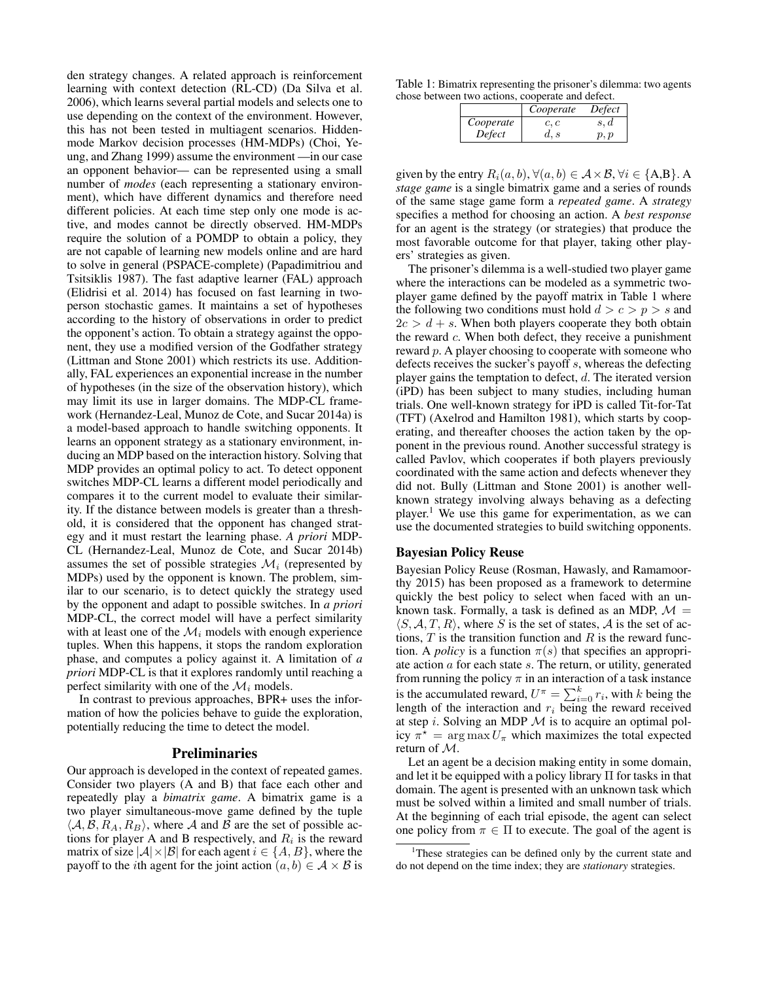den strategy changes. A related approach is reinforcement learning with context detection (RL-CD) (Da Silva et al. 2006), which learns several partial models and selects one to use depending on the context of the environment. However, this has not been tested in multiagent scenarios. Hiddenmode Markov decision processes (HM-MDPs) (Choi, Yeung, and Zhang 1999) assume the environment —in our case an opponent behavior— can be represented using a small number of *modes* (each representing a stationary environment), which have different dynamics and therefore need different policies. At each time step only one mode is active, and modes cannot be directly observed. HM-MDPs require the solution of a POMDP to obtain a policy, they are not capable of learning new models online and are hard to solve in general (PSPACE-complete) (Papadimitriou and Tsitsiklis 1987). The fast adaptive learner (FAL) approach (Elidrisi et al. 2014) has focused on fast learning in twoperson stochastic games. It maintains a set of hypotheses according to the history of observations in order to predict the opponent's action. To obtain a strategy against the opponent, they use a modified version of the Godfather strategy (Littman and Stone 2001) which restricts its use. Additionally, FAL experiences an exponential increase in the number of hypotheses (in the size of the observation history), which may limit its use in larger domains. The MDP-CL framework (Hernandez-Leal, Munoz de Cote, and Sucar 2014a) is a model-based approach to handle switching opponents. It learns an opponent strategy as a stationary environment, inducing an MDP based on the interaction history. Solving that MDP provides an optimal policy to act. To detect opponent switches MDP-CL learns a different model periodically and compares it to the current model to evaluate their similarity. If the distance between models is greater than a threshold, it is considered that the opponent has changed strategy and it must restart the learning phase. *A priori* MDP-CL (Hernandez-Leal, Munoz de Cote, and Sucar 2014b) assumes the set of possible strategies  $\mathcal{M}_i$  (represented by MDPs) used by the opponent is known. The problem, similar to our scenario, is to detect quickly the strategy used by the opponent and adapt to possible switches. In *a priori* MDP-CL, the correct model will have a perfect similarity with at least one of the  $\mathcal{M}_i$  models with enough experience tuples. When this happens, it stops the random exploration phase, and computes a policy against it. A limitation of *a priori* MDP-CL is that it explores randomly until reaching a perfect similarity with one of the  $\mathcal{M}_i$  models.

In contrast to previous approaches, BPR+ uses the information of how the policies behave to guide the exploration, potentially reducing the time to detect the model.

#### Preliminaries

Our approach is developed in the context of repeated games. Consider two players (A and B) that face each other and repeatedly play a *bimatrix game*. A bimatrix game is a two player simultaneous-move game defined by the tuple  $\langle A, B, R_A, R_B \rangle$ , where A and B are the set of possible actions for player A and B respectively, and  $R_i$  is the reward matrix of size  $|A| \times |B|$  for each agent  $i \in \{A, B\}$ , where the payoff to the *i*th agent for the joint action  $(a, b) \in A \times B$  is

Table 1: Bimatrix representing the prisoner's dilemma: two agents chose between two actions, cooperate and defect.

|           | Cooperate | Defect |
|-----------|-----------|--------|
| Cooperate | c, c      | s, d   |
| Defect    | d, s      | p, p   |

given by the entry  $R_i(a, b)$ ,  $\forall (a, b) \in A \times B$ ,  $\forall i \in \{A, B\}$ . A *stage game* is a single bimatrix game and a series of rounds of the same stage game form a *repeated game*. A *strategy* specifies a method for choosing an action. A *best response* for an agent is the strategy (or strategies) that produce the most favorable outcome for that player, taking other players' strategies as given.

The prisoner's dilemma is a well-studied two player game where the interactions can be modeled as a symmetric twoplayer game defined by the payoff matrix in Table 1 where the following two conditions must hold  $d > c > p > s$  and  $2c > d + s$ . When both players cooperate they both obtain the reward  $c$ . When both defect, they receive a punishment reward p. A player choosing to cooperate with someone who defects receives the sucker's payoff s, whereas the defecting player gains the temptation to defect,  $d$ . The iterated version (iPD) has been subject to many studies, including human trials. One well-known strategy for iPD is called Tit-for-Tat (TFT) (Axelrod and Hamilton 1981), which starts by cooperating, and thereafter chooses the action taken by the opponent in the previous round. Another successful strategy is called Pavlov, which cooperates if both players previously coordinated with the same action and defects whenever they did not. Bully (Littman and Stone 2001) is another wellknown strategy involving always behaving as a defecting player.<sup>1</sup> We use this game for experimentation, as we can use the documented strategies to build switching opponents.

# Bayesian Policy Reuse

Bayesian Policy Reuse (Rosman, Hawasly, and Ramamoorthy 2015) has been proposed as a framework to determine quickly the best policy to select when faced with an unknown task. Formally, a task is defined as an MDP,  $\mathcal{M} =$  $\langle S, A, T, R \rangle$ , where S is the set of states, A is the set of actions,  $T$  is the transition function and  $R$  is the reward function. A *policy* is a function  $\pi(s)$  that specifies an appropriate action  $a$  for each state  $s$ . The return, or utility, generated from running the policy  $\pi$  in an interaction of a task instance is the accumulated reward,  $U^{\pi} = \sum_{i=0}^{k} r_i$ , with k being the length of the interaction and  $r_i$  being the reward received at step i. Solving an MDP  $M$  is to acquire an optimal policy  $\pi^* = \arg \max U_{\pi}$  which maximizes the total expected return of M.

Let an agent be a decision making entity in some domain, and let it be equipped with a policy library Π for tasks in that domain. The agent is presented with an unknown task which must be solved within a limited and small number of trials. At the beginning of each trial episode, the agent can select one policy from  $\pi \in \Pi$  to execute. The goal of the agent is

<sup>&</sup>lt;sup>1</sup>These strategies can be defined only by the current state and do not depend on the time index; they are *stationary* strategies.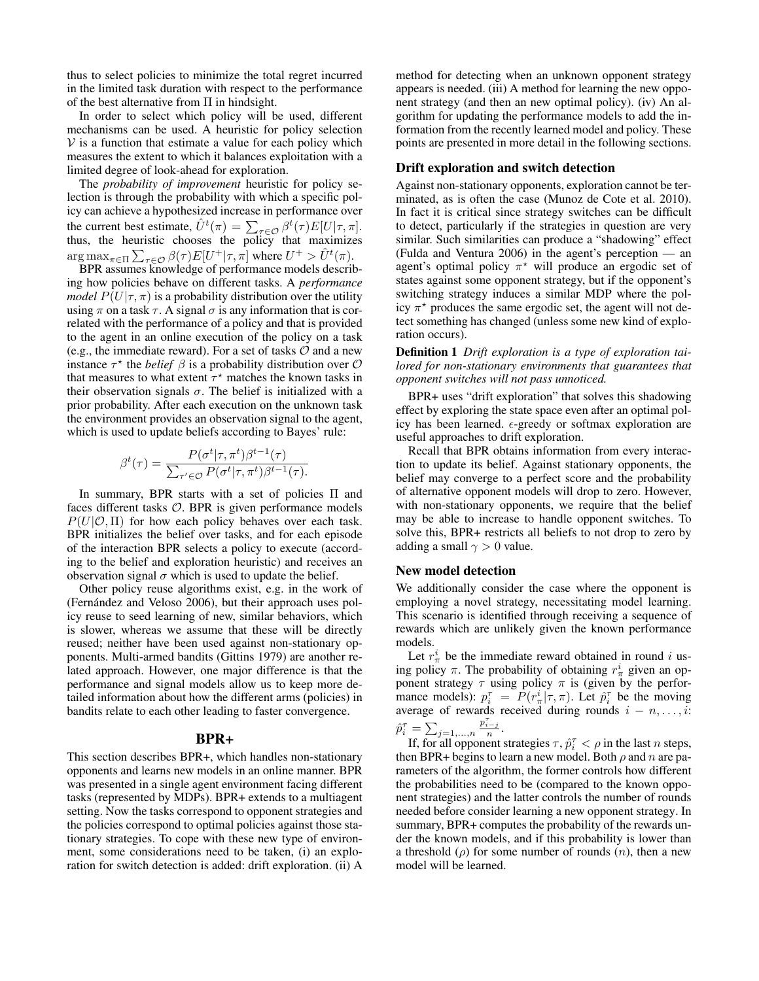thus to select policies to minimize the total regret incurred in the limited task duration with respect to the performance of the best alternative from Π in hindsight.

In order to select which policy will be used, different mechanisms can be used. A heuristic for policy selection  $V$  is a function that estimate a value for each policy which measures the extent to which it balances exploitation with a limited degree of look-ahead for exploration.

The *probability of improvement* heuristic for policy selection is through the probability with which a specific policy can achieve a hypothesized increase in performance over the current best estimate,  $\hat{U}^t(\pi) = \sum_{\tau \in \mathcal{O}} \beta^t(\tau) E[U|\tau, \pi].$ thus, the heuristic chooses the policy that maximizes  $\argmax_{\pi \in \Pi} \sum_{\tau \in \mathcal{O}} \beta(\tau) E[U^+ | \tau, \pi]$  where  $U^+ > \hat{U}^t(\pi)$ .

BPR assumes knowledge of performance models describing how policies behave on different tasks. A *performance model*  $P(U|\tau,\pi)$  is a probability distribution over the utility using  $\pi$  on a task  $\tau$ . A signal  $\sigma$  is any information that is correlated with the performance of a policy and that is provided to the agent in an online execution of the policy on a task (e.g., the immediate reward). For a set of tasks  $O$  and a new instance  $\tau^*$  the *belief*  $\beta$  is a probability distribution over  $\mathcal O$ that measures to what extent  $\tau^*$  matches the known tasks in their observation signals  $\sigma$ . The belief is initialized with a prior probability. After each execution on the unknown task the environment provides an observation signal to the agent, which is used to update beliefs according to Bayes' rule:

$$
\beta^{t}(\tau) = \frac{P(\sigma^{t}|\tau,\pi^{t})\beta^{t-1}(\tau)}{\sum_{\tau' \in \mathcal{O}} P(\sigma^{t}|\tau,\pi^{t})\beta^{t-1}(\tau)}.
$$

In summary, BPR starts with a set of policies  $\Pi$  and faces different tasks O. BPR is given performance models  $P(U|O, \Pi)$  for how each policy behaves over each task. BPR initializes the belief over tasks, and for each episode of the interaction BPR selects a policy to execute (according to the belief and exploration heuristic) and receives an observation signal  $\sigma$  which is used to update the belief.

Other policy reuse algorithms exist, e.g. in the work of (Fernández and Veloso 2006), but their approach uses policy reuse to seed learning of new, similar behaviors, which is slower, whereas we assume that these will be directly reused; neither have been used against non-stationary opponents. Multi-armed bandits (Gittins 1979) are another related approach. However, one major difference is that the performance and signal models allow us to keep more detailed information about how the different arms (policies) in bandits relate to each other leading to faster convergence.

# BPR+

This section describes BPR+, which handles non-stationary opponents and learns new models in an online manner. BPR was presented in a single agent environment facing different tasks (represented by MDPs). BPR+ extends to a multiagent setting. Now the tasks correspond to opponent strategies and the policies correspond to optimal policies against those stationary strategies. To cope with these new type of environment, some considerations need to be taken, (i) an exploration for switch detection is added: drift exploration. (ii) A method for detecting when an unknown opponent strategy appears is needed. (iii) A method for learning the new opponent strategy (and then an new optimal policy). (iv) An algorithm for updating the performance models to add the information from the recently learned model and policy. These points are presented in more detail in the following sections.

### Drift exploration and switch detection

Against non-stationary opponents, exploration cannot be terminated, as is often the case (Munoz de Cote et al. 2010). In fact it is critical since strategy switches can be difficult to detect, particularly if the strategies in question are very similar. Such similarities can produce a "shadowing" effect (Fulda and Ventura 2006) in the agent's perception — an agent's optimal policy  $\pi^*$  will produce an ergodic set of states against some opponent strategy, but if the opponent's switching strategy induces a similar MDP where the policy  $\pi^*$  produces the same ergodic set, the agent will not detect something has changed (unless some new kind of exploration occurs).

Definition 1 *Drift exploration is a type of exploration tailored for non-stationary environments that guarantees that opponent switches will not pass unnoticed.*

BPR+ uses "drift exploration" that solves this shadowing effect by exploring the state space even after an optimal policy has been learned.  $\epsilon$ -greedy or softmax exploration are useful approaches to drift exploration.

Recall that BPR obtains information from every interaction to update its belief. Against stationary opponents, the belief may converge to a perfect score and the probability of alternative opponent models will drop to zero. However, with non-stationary opponents, we require that the belief may be able to increase to handle opponent switches. To solve this, BPR+ restricts all beliefs to not drop to zero by adding a small  $\gamma > 0$  value.

## New model detection

We additionally consider the case where the opponent is employing a novel strategy, necessitating model learning. This scenario is identified through receiving a sequence of rewards which are unlikely given the known performance models.

Let  $r^i_\pi$  be the immediate reward obtained in round i using policy  $\pi$ . The probability of obtaining  $r^i_{\pi}$  given an opponent strategy  $\tau$  using policy  $\pi$  is (given by the performance models):  $p_i^{\tau} = \hat{P}(r_{\pi}^i | \tau, \pi)$ . Let  $\hat{p}_i^{\tau}$  be the moving average of rewards received during rounds  $i - n, \ldots, i$ :  $\hat{p}_i^{\tau} = \sum_{j=1,\dots,n}$  $\frac{p_{i-j}^{\tau}}{n}$ .

If, for all opponent strategies  $\tau$ ,  $\hat{p}_i^{\tau} < \rho$  in the last *n* steps, then BPR+ begins to learn a new model. Both  $\rho$  and n are parameters of the algorithm, the former controls how different the probabilities need to be (compared to the known opponent strategies) and the latter controls the number of rounds needed before consider learning a new opponent strategy. In summary, BPR+ computes the probability of the rewards under the known models, and if this probability is lower than a threshold  $(\rho)$  for some number of rounds  $(n)$ , then a new model will be learned.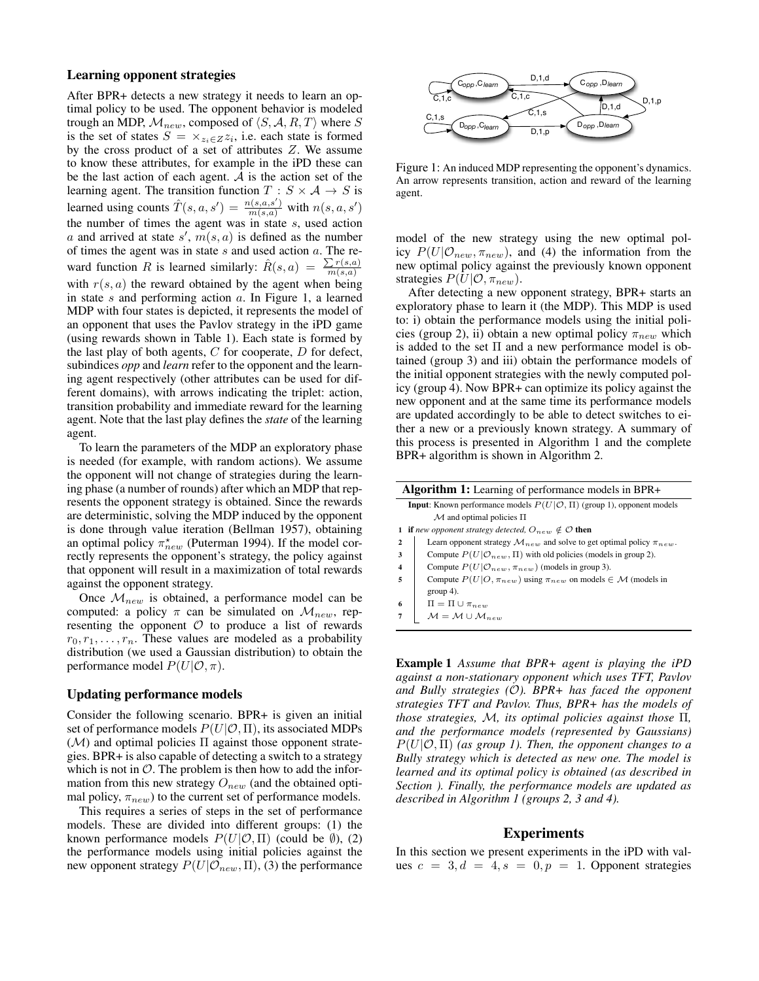### Learning opponent strategies

After BPR+ detects a new strategy it needs to learn an optimal policy to be used. The opponent behavior is modeled trough an MDP,  $M_{new}$ , composed of  $\langle S, A, R, T \rangle$  where S is the set of states  $S = \times_{z_i \in Z} z_i$ , i.e. each state is formed by the cross product of a set of attributes Z. We assume to know these attributes, for example in the iPD these can be the last action of each agent. A is the action set of the learning agent. The transition function  $T : S \times A \rightarrow S$  is learned using counts  $\hat{T}(s, a, s') = \frac{n(s, a, s')}{m(s, a)}$  with  $n(s, a, s')$ the number of times the agent was in state s, used action a and arrived at state  $s'$ ,  $m(s, a)$  is defined as the number of times the agent was in state  $s$  and used action  $a$ . The reward function R is learned similarly:  $\hat{R}(s, a) = \frac{\sum r(s, a)}{m(s, a)}$  $m(s,a)$ with  $r(s, a)$  the reward obtained by the agent when being in state  $s$  and performing action  $a$ . In Figure 1, a learned MDP with four states is depicted, it represents the model of an opponent that uses the Pavlov strategy in the iPD game (using rewards shown in Table 1). Each state is formed by the last play of both agents,  $C$  for cooperate,  $D$  for defect, subindices *opp* and *learn* refer to the opponent and the learning agent respectively (other attributes can be used for different domains), with arrows indicating the triplet: action, transition probability and immediate reward for the learning agent. Note that the last play defines the *state* of the learning agent.

To learn the parameters of the MDP an exploratory phase is needed (for example, with random actions). We assume the opponent will not change of strategies during the learning phase (a number of rounds) after which an MDP that represents the opponent strategy is obtained. Since the rewards are deterministic, solving the MDP induced by the opponent is done through value iteration (Bellman 1957), obtaining an optimal policy  $\pi_{new}^{\star}$  (Puterman 1994). If the model correctly represents the opponent's strategy, the policy against that opponent will result in a maximization of total rewards against the opponent strategy.

Once  $\mathcal{M}_{new}$  is obtained, a performance model can be computed: a policy  $\pi$  can be simulated on  $\mathcal{M}_{new}$ , representing the opponent  $O$  to produce a list of rewards  $r_0, r_1, \ldots, r_n$ . These values are modeled as a probability distribution (we used a Gaussian distribution) to obtain the performance model  $P(U|O, \pi)$ .

# Updating performance models

Consider the following scenario. BPR+ is given an initial set of performance models  $P(U|O, \Pi)$ , its associated MDPs  $(M)$  and optimal policies  $\Pi$  against those opponent strategies. BPR+ is also capable of detecting a switch to a strategy which is not in  $\mathcal{O}$ . The problem is then how to add the information from this new strategy  $O_{new}$  (and the obtained optimal policy,  $\pi_{new}$ ) to the current set of performance models.

This requires a series of steps in the set of performance models. These are divided into different groups: (1) the known performance models  $P(U|O, \Pi)$  (could be  $\emptyset$ ), (2) the performance models using initial policies against the new opponent strategy  $P(U|\mathcal{O}_{new}, \Pi)$ , (3) the performance



Figure 1: An induced MDP representing the opponent's dynamics. An arrow represents transition, action and reward of the learning agent.

model of the new strategy using the new optimal policy  $P(U|\mathcal{O}_{new}, \pi_{new})$ , and (4) the information from the new optimal policy against the previously known opponent strategies  $P(U|O, \pi_{new})$ .

After detecting a new opponent strategy, BPR+ starts an exploratory phase to learn it (the MDP). This MDP is used to: i) obtain the performance models using the initial policies (group 2), ii) obtain a new optimal policy  $\pi_{new}$  which is added to the set Π and a new performance model is obtained (group 3) and iii) obtain the performance models of the initial opponent strategies with the newly computed policy (group 4). Now BPR+ can optimize its policy against the new opponent and at the same time its performance models are updated accordingly to be able to detect switches to either a new or a previously known strategy. A summary of this process is presented in Algorithm 1 and the complete BPR+ algorithm is shown in Algorithm 2.

| <b>Algorithm 1:</b> Learning of performance models in BPR+ |                                                                                           |  |  |  |  |
|------------------------------------------------------------|-------------------------------------------------------------------------------------------|--|--|--|--|
|                                                            | <b>Input:</b> Known performance models $P(U \mathcal{O}, \Pi)$ (group 1), opponent models |  |  |  |  |
|                                                            | $\mathcal M$ and optimal policies $\Pi$                                                   |  |  |  |  |
|                                                            | <b>if</b> new opponent strategy detected, $O_{new} \notin \mathcal{O}$ then               |  |  |  |  |
| $\overline{2}$                                             | Learn opponent strategy $\mathcal{M}_{new}$ and solve to get optimal policy $\pi_{new}$ . |  |  |  |  |
| 3                                                          | Compute $P(U \mathcal{O}_{new}, \Pi)$ with old policies (models in group 2).              |  |  |  |  |
| 4                                                          | Compute $P(U \mathcal{O}_{new}, \pi_{new})$ (models in group 3).                          |  |  |  |  |
| 5                                                          | Compute $P(U O, \pi_{new})$ using $\pi_{new}$ on models $\in \mathcal{M}$ (models in      |  |  |  |  |
|                                                            | $group 4)$ .                                                                              |  |  |  |  |
| 6                                                          | $\Pi = \Pi \cup \pi_{new}$                                                                |  |  |  |  |
|                                                            | $M = M \cup M_{new}$                                                                      |  |  |  |  |
|                                                            |                                                                                           |  |  |  |  |

Example 1 *Assume that BPR+ agent is playing the iPD against a non-stationary opponent which uses TFT, Pavlov and Bully strategies (*O*). BPR+ has faced the opponent strategies TFT and Pavlov. Thus, BPR+ has the models of those strategies,* M*, its optimal policies against those* Π*, and the performance models (represented by Gaussians)*  $P(U|\mathcal{O}, \Pi)$  *(as group 1). Then, the opponent changes to a Bully strategy which is detected as new one. The model is learned and its optimal policy is obtained (as described in Section ). Finally, the performance models are updated as described in Algorithm 1 (groups 2, 3 and 4).*

#### Experiments

In this section we present experiments in the iPD with values  $c = 3, d = 4, s = 0, p = 1$ . Opponent strategies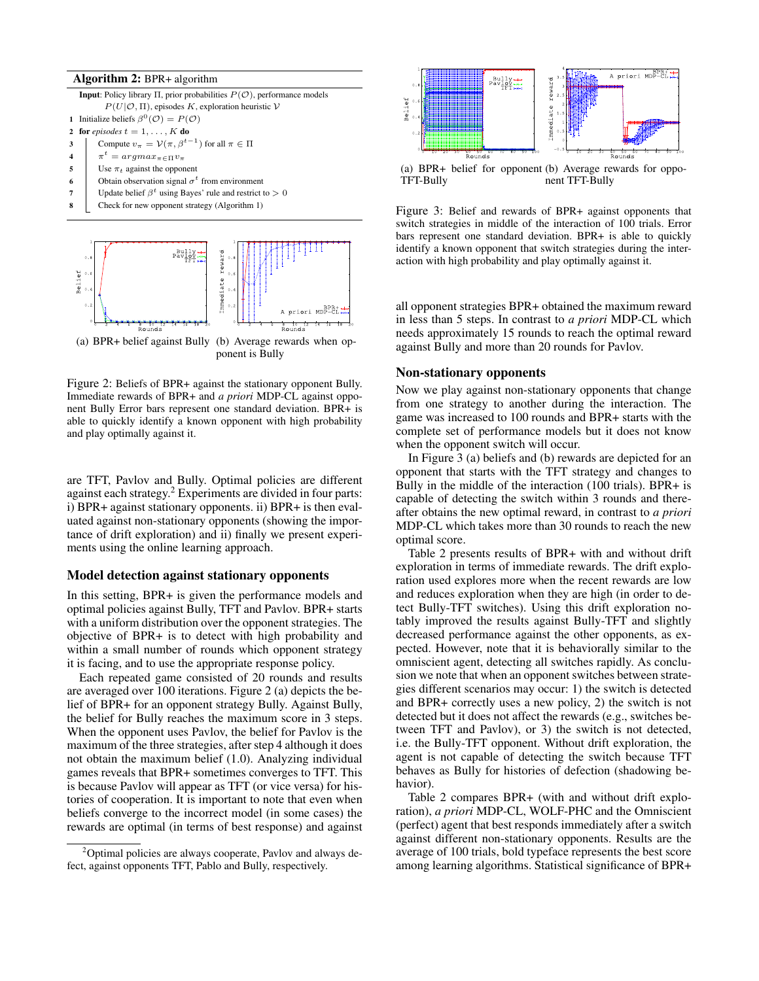#### Algorithm 2: BPR+ algorithm

**Input**: Policy library Π, prior probabilities  $P$ ( $O$ ), performance models  $P(U|O,\Pi)$ , episodes K, exploration heuristic V 1 Initialize beliefs  $\beta^0(\mathcal{O}) = P(\mathcal{O})$ 2 for *episodes*  $t = 1, \ldots, K$  do 3 Compute  $v_{\pi} = \mathcal{V}(\pi, \beta^{t-1})$  for all  $\pi \in \Pi$ 4  $\pi^t = argmax_{\pi \in \Pi} v_{\pi}$ 5 Use  $\pi_t$  against the opponent 6 **Obtain observation signal**  $\sigma^t$  from environment 7 Update belief  $\beta^t$  using Bayes' rule and restrict to  $> 0$ 8 Check for new opponent strategy (Algorithm 1)



ponent is Bully

Figure 2: Beliefs of BPR+ against the stationary opponent Bully. Immediate rewards of BPR+ and *a priori* MDP-CL against opponent Bully Error bars represent one standard deviation. BPR+ is able to quickly identify a known opponent with high probability and play optimally against it.

are TFT, Pavlov and Bully. Optimal policies are different against each strategy.<sup>2</sup> Experiments are divided in four parts: i) BPR+ against stationary opponents. ii) BPR+ is then evaluated against non-stationary opponents (showing the importance of drift exploration) and ii) finally we present experiments using the online learning approach.

#### Model detection against stationary opponents

In this setting, BPR+ is given the performance models and optimal policies against Bully, TFT and Pavlov. BPR+ starts with a uniform distribution over the opponent strategies. The objective of BPR+ is to detect with high probability and within a small number of rounds which opponent strategy it is facing, and to use the appropriate response policy.

Each repeated game consisted of 20 rounds and results are averaged over 100 iterations. Figure 2 (a) depicts the belief of BPR+ for an opponent strategy Bully. Against Bully, the belief for Bully reaches the maximum score in 3 steps. When the opponent uses Pavlov, the belief for Pavlov is the maximum of the three strategies, after step 4 although it does not obtain the maximum belief (1.0). Analyzing individual games reveals that BPR+ sometimes converges to TFT. This is because Pavlov will appear as TFT (or vice versa) for histories of cooperation. It is important to note that even when beliefs converge to the incorrect model (in some cases) the rewards are optimal (in terms of best response) and against



(a) BPR+ belief for opponent (b) Average rewards for oppo-TFT-Bully nent TFT-Bully

Figure 3: Belief and rewards of BPR+ against opponents that switch strategies in middle of the interaction of 100 trials. Error bars represent one standard deviation. BPR+ is able to quickly identify a known opponent that switch strategies during the interaction with high probability and play optimally against it.

all opponent strategies BPR+ obtained the maximum reward in less than 5 steps. In contrast to *a priori* MDP-CL which needs approximately 15 rounds to reach the optimal reward against Bully and more than 20 rounds for Pavlov.

## Non-stationary opponents

Now we play against non-stationary opponents that change from one strategy to another during the interaction. The game was increased to 100 rounds and BPR+ starts with the complete set of performance models but it does not know when the opponent switch will occur.

In Figure 3 (a) beliefs and (b) rewards are depicted for an opponent that starts with the TFT strategy and changes to Bully in the middle of the interaction (100 trials). BPR+ is capable of detecting the switch within 3 rounds and thereafter obtains the new optimal reward, in contrast to *a priori* MDP-CL which takes more than 30 rounds to reach the new optimal score.

Table 2 presents results of BPR+ with and without drift exploration in terms of immediate rewards. The drift exploration used explores more when the recent rewards are low and reduces exploration when they are high (in order to detect Bully-TFT switches). Using this drift exploration notably improved the results against Bully-TFT and slightly decreased performance against the other opponents, as expected. However, note that it is behaviorally similar to the omniscient agent, detecting all switches rapidly. As conclusion we note that when an opponent switches between strategies different scenarios may occur: 1) the switch is detected and BPR+ correctly uses a new policy, 2) the switch is not detected but it does not affect the rewards (e.g., switches between TFT and Pavlov), or 3) the switch is not detected, i.e. the Bully-TFT opponent. Without drift exploration, the agent is not capable of detecting the switch because TFT behaves as Bully for histories of defection (shadowing behavior).

Table 2 compares BPR+ (with and without drift exploration), *a priori* MDP-CL, WOLF-PHC and the Omniscient (perfect) agent that best responds immediately after a switch against different non-stationary opponents. Results are the average of 100 trials, bold typeface represents the best score among learning algorithms. Statistical significance of BPR+

<sup>&</sup>lt;sup>2</sup>Optimal policies are always cooperate, Pavlov and always defect, against opponents TFT, Pablo and Bully, respectively.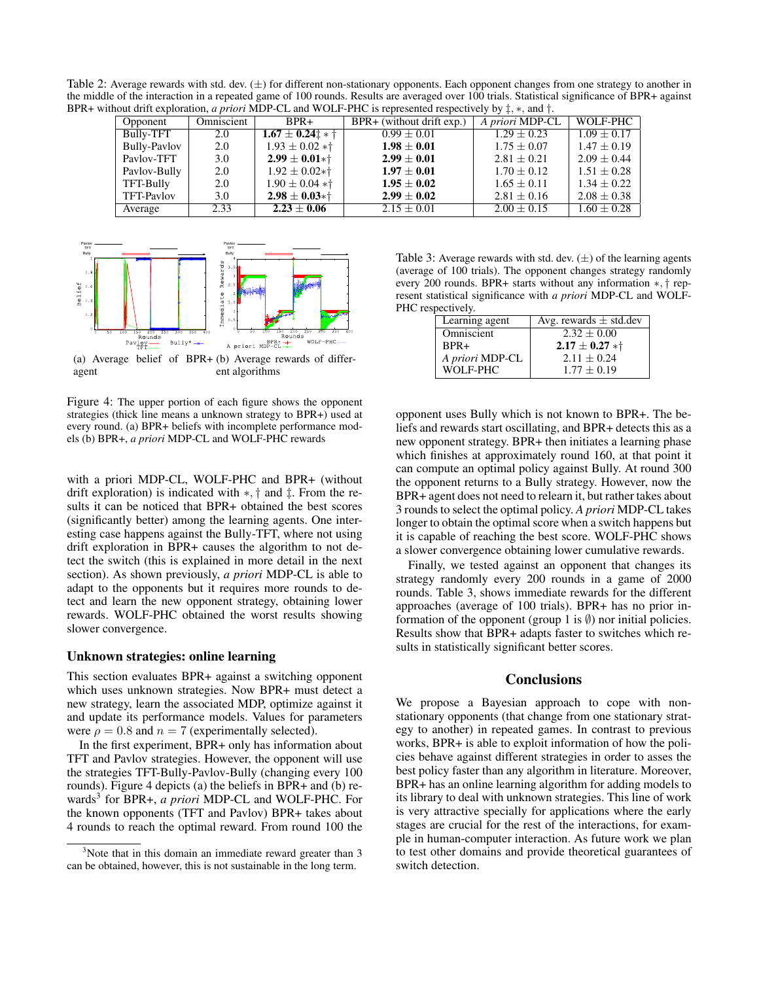Table 2: Average rewards with std. dev.  $(\pm)$  for different non-stationary opponents. Each opponent changes from one strategy to another in the middle of the interaction in a repeated game of 100 rounds. Results are averaged over 100 trials. Statistical significance of BPR+ against BPR+ without drift exploration, *a priori* MDP-CL and WOLF-PHC is represented respectively by ‡, ∗, and †.

| Opponent            | Omniscient | $BPR+$                        | $BPR+$ (without drift exp.) | A priori MDP-CL | WOLF-PHC        |
|---------------------|------------|-------------------------------|-----------------------------|-----------------|-----------------|
| Bully-TFT           | 2.0        | $1.67 \pm 0.24$ $\pm$ + $\pm$ | $0.99 \pm 0.01$             | $1.29 + 0.23$   | $1.09 + 0.17$   |
| <b>Bully-Paylov</b> | 2.0        | $1.93 \pm 0.02 *$ †           | $1.98 \pm 0.01$             | $1.75 \pm 0.07$ | $1.47 + 0.19$   |
| Pavlov-TFT          | 3.0        | $2.99 \pm 0.01*$              | $2.99 \pm 0.01$             | $2.81 \pm 0.21$ | $2.09 \pm 0.44$ |
| Paylov-Bully        | 2.0        | $1.92 \pm 0.02*$              | $1.97 \pm 0.01$             | $1.70 \pm 0.12$ | $1.51 \pm 0.28$ |
| TFT-Bully           | 2.0        | $1.90 \pm 0.04 *$ †           | $1.95 \pm 0.02$             | $1.65 \pm 0.11$ | $1.34 \pm 0.22$ |
| TFT-Pavlov          | 3.0        | $2.98 \pm 0.03*1$             | $2.99 \pm 0.02$             | $2.81 \pm 0.16$ | $2.08 \pm 0.38$ |
| Average             | 2.33       | $2.23 \pm 0.06$               | $2.15 \pm 0.01$             | $2.00 \pm 0.15$ | $1.60 \pm 0.28$ |



(a) Average belief of BPR+ (b) Average rewards of differagent ent algorithms

Figure 4: The upper portion of each figure shows the opponent strategies (thick line means a unknown strategy to BPR+) used at every round. (a) BPR+ beliefs with incomplete performance models (b) BPR+, *a priori* MDP-CL and WOLF-PHC rewards

with a priori MDP-CL, WOLF-PHC and BPR+ (without drift exploration) is indicated with ∗, † and ‡. From the results it can be noticed that BPR+ obtained the best scores (significantly better) among the learning agents. One interesting case happens against the Bully-TFT, where not using drift exploration in BPR+ causes the algorithm to not detect the switch (this is explained in more detail in the next section). As shown previously, *a priori* MDP-CL is able to adapt to the opponents but it requires more rounds to detect and learn the new opponent strategy, obtaining lower rewards. WOLF-PHC obtained the worst results showing slower convergence.

#### Unknown strategies: online learning

This section evaluates BPR+ against a switching opponent which uses unknown strategies. Now BPR+ must detect a new strategy, learn the associated MDP, optimize against it and update its performance models. Values for parameters were  $\rho = 0.8$  and  $n = 7$  (experimentally selected).

In the first experiment, BPR+ only has information about TFT and Pavlov strategies. However, the opponent will use the strategies TFT-Bully-Pavlov-Bully (changing every 100 rounds). Figure 4 depicts (a) the beliefs in BPR+ and (b) rewards<sup>3</sup> for BPR+, *a priori* MDP-CL and WOLF-PHC. For the known opponents (TFT and Pavlov) BPR+ takes about 4 rounds to reach the optimal reward. From round 100 the

Table 3: Average rewards with std. dev.  $(\pm)$  of the learning agents (average of 100 trials). The opponent changes strategy randomly every 200 rounds. BPR+ starts without any information ∗, † represent statistical significance with *a priori* MDP-CL and WOLF-PHC respectively.

| Learning agent  | Avg. rewards $\pm$ std.dev |
|-----------------|----------------------------|
| Omniscient      | $2.32 + 0.00$              |
| $BPR+$          | $2.17 \pm 0.27 *$ †        |
| A priori MDP-CL | $2.11 + 0.24$              |
| WOLF-PHC        | $1.77 + 0.19$              |

opponent uses Bully which is not known to BPR+. The beliefs and rewards start oscillating, and BPR+ detects this as a new opponent strategy. BPR+ then initiates a learning phase which finishes at approximately round 160, at that point it can compute an optimal policy against Bully. At round 300 the opponent returns to a Bully strategy. However, now the BPR+ agent does not need to relearn it, but rather takes about 3 rounds to select the optimal policy. *A priori* MDP-CL takes longer to obtain the optimal score when a switch happens but it is capable of reaching the best score. WOLF-PHC shows a slower convergence obtaining lower cumulative rewards.

Finally, we tested against an opponent that changes its strategy randomly every 200 rounds in a game of 2000 rounds. Table 3, shows immediate rewards for the different approaches (average of 100 trials). BPR+ has no prior information of the opponent (group 1 is  $\emptyset$ ) nor initial policies. Results show that BPR+ adapts faster to switches which results in statistically significant better scores.

## **Conclusions**

We propose a Bayesian approach to cope with nonstationary opponents (that change from one stationary strategy to another) in repeated games. In contrast to previous works, BPR+ is able to exploit information of how the policies behave against different strategies in order to asses the best policy faster than any algorithm in literature. Moreover, BPR+ has an online learning algorithm for adding models to its library to deal with unknown strategies. This line of work is very attractive specially for applications where the early stages are crucial for the rest of the interactions, for example in human-computer interaction. As future work we plan to test other domains and provide theoretical guarantees of switch detection.

<sup>&</sup>lt;sup>3</sup>Note that in this domain an immediate reward greater than 3 can be obtained, however, this is not sustainable in the long term.